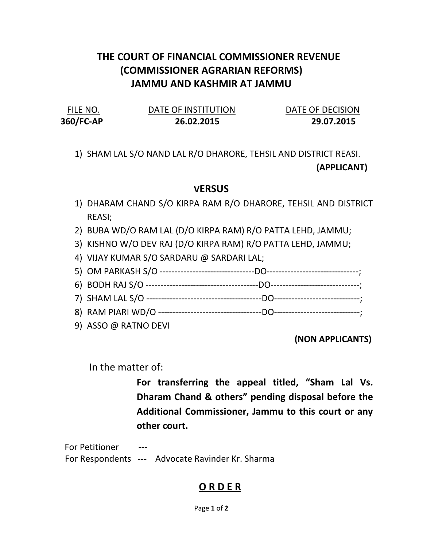# THE COURT OF FINANCIAL COMMISSIONER REVENUE (COMMISSIONER AGRARIAN REFORMS) JAMMU AND KASHMIR AT JAMMU

| FILE NO.  | DATE OF INSTITUTION | DATE OF DECISION |
|-----------|---------------------|------------------|
| 360/FC-AP | 26.02.2015          | 29.07.2015       |

## 1) SHAM LAL S/O NAND LAL R/O DHARORE, TEHSIL AND DISTRICT REASI. (APPLICANT)

#### **VERSUS**

- 1) DHARAM CHAND S/O KIRPA RAM R/O DHARORE, TEHSIL AND DISTRICT REASI;
- 2) BUBA WD/O RAM LAL (D/O KIRPA RAM) R/O PATTA LEHD, JAMMU;
- 3) KISHNO W/O DEV RAJ (D/O KIRPA RAM) R/O PATTA LEHD, JAMMU;
- 4) VIJAY KUMAR S/O SARDARU @ SARDARI LAL;
- 5) OM PARKASH S/O --------------------------------DO-------------------------------;
- 6) BODH RAJ S/O --------------------------------------DO------------------------------;
- 7) SHAM LAL S/O ---------------------------------------DO-----------------------------;
- 8) RAM PIARI WD/O -----------------------------------DO-----------------------------;
- 9) ASSO @ RATNO DEVI

### (NON APPLICANTS)

In the matter of:

For transferring the appeal titled, "Sham Lal Vs. Dharam Chand & others" pending disposal before the Additional Commissioner, Jammu to this court or any other court.

For Petitioner For Respondents --- Advocate Ravinder Kr. Sharma

### O R D E R